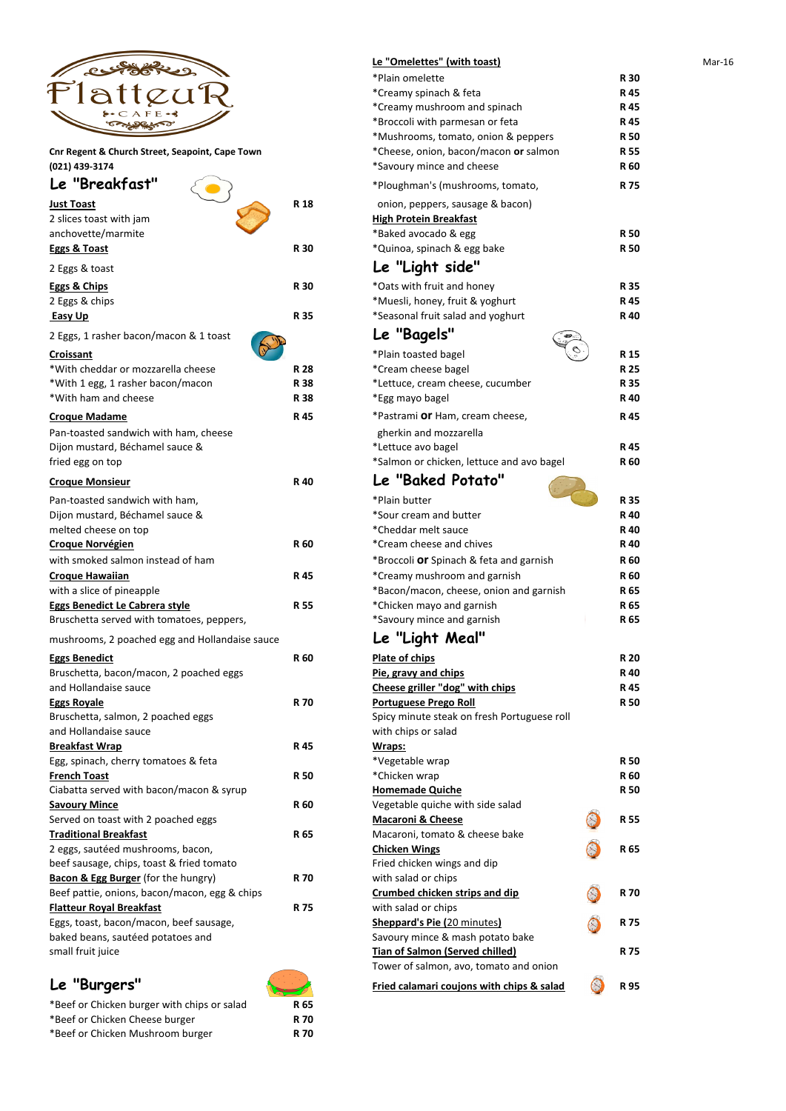

| Le "Breakfast"                                 |            | *Ploughman's (mushrooms, tomato,               |
|------------------------------------------------|------------|------------------------------------------------|
| <b>Just Toast</b>                              | R 18       | onion, peppers, sausage & bacon)               |
| 2 slices toast with jam                        |            | <b>High Protein Breakfast</b>                  |
| anchovette/marmite                             |            | *Baked avocado & egg                           |
| <b>Eggs &amp; Toast</b>                        | <b>R30</b> | *Quinoa, spinach & egg bake                    |
| 2 Eggs & toast                                 |            | Le "Light side"                                |
| <b>Eggs &amp; Chips</b>                        | <b>R30</b> | *Oats with fruit and honey                     |
| 2 Eggs & chips                                 |            | *Muesli, honey, fruit & yoghurt                |
| <b>Easy Up</b>                                 | R 35       | *Seasonal fruit salad and yoghurt              |
| 2 Eggs, 1 rasher bacon/macon & 1 toast         |            | Le "Bagels"                                    |
| <b>Croissant</b>                               |            | *Plain toasted bagel                           |
| *With cheddar or mozzarella cheese             | <b>R28</b> | *Cream cheese bagel                            |
| *With 1 egg, 1 rasher bacon/macon              | <b>R38</b> | *Lettuce, cream cheese, cucumber               |
| *With ham and cheese                           | <b>R38</b> | *Egg mayo bagel                                |
| <b>Croque Madame</b>                           | R 45       | *Pastrami Or Ham, cream cheese,                |
| Pan-toasted sandwich with ham, cheese          |            | gherkin and mozzarella                         |
| Dijon mustard, Béchamel sauce &                |            | *Lettuce avo bagel                             |
| fried egg on top                               |            | *Salmon or chicken, lettuce and avo bagel      |
| <b>Croque Monsieur</b>                         | R 40       | Le "Baked Potato"                              |
| Pan-toasted sandwich with ham,                 |            | *Plain butter                                  |
| Dijon mustard, Béchamel sauce &                |            | *Sour cream and butter                         |
| melted cheese on top                           |            | *Cheddar melt sauce                            |
| <b>Croque Norvégien</b>                        | R 60       | *Cream cheese and chives                       |
| with smoked salmon instead of ham              |            | *Broccoli <b>Or</b> Spinach & feta and garnish |
| <b>Croque Hawaiian</b>                         | R 45       | *Creamy mushroom and garnish                   |
| with a slice of pineapple                      |            | *Bacon/macon, cheese, onion and garnish        |
| <b>Eggs Benedict Le Cabrera style</b>          | <b>R55</b> | *Chicken mayo and garnish                      |
| Bruschetta served with tomatoes, peppers,      |            | *Savoury mince and garnish                     |
| mushrooms, 2 poached egg and Hollandaise sauce |            | Le "Light Meal"                                |
| <b>Eggs Benedict</b>                           | R 60       | Plate of chips                                 |
| Bruschetta, bacon/macon, 2 poached eggs        |            | Pie, gravy and chips                           |
| and Hollandaise sauce                          |            | Cheese griller "dog" with chips                |
| <b>Eggs Royale</b>                             | <b>R70</b> | <b>Portuguese Prego Roll</b>                   |
| Bruschetta, salmon, 2 poached eggs             |            | Spicy minute steak on fresh Portuguese roll    |
| and Hollandaise sauce                          |            | with chips or salad                            |
| <b>Breakfast Wrap</b>                          | R 45       | Wraps:                                         |
| Egg, spinach, cherry tomatoes & feta           |            | *Vegetable wrap                                |
| <b>French Toast</b>                            | <b>R50</b> | *Chicken wrap                                  |
| Ciabatta served with bacon/macon & syrup       |            | <b>Homemade Quiche</b>                         |
| <b>Savoury Mince</b>                           | <b>R60</b> | Vegetable quiche with side salad               |
| Served on toast with 2 poached eggs            |            | <b>Macaroni &amp; Cheese</b>                   |
| <b>Traditional Breakfast</b>                   | R 65       | Macaroni, tomato & cheese bake                 |

|                                                 |            | Le "Omelettes" (with toast)                 |            | Mar-16 |
|-------------------------------------------------|------------|---------------------------------------------|------------|--------|
|                                                 |            | *Plain omelette                             | <b>R30</b> |        |
|                                                 |            | *Creamy spinach & feta                      | R 45       |        |
| $A$ F E                                         |            | *Creamy mushroom and spinach                | R 45       |        |
|                                                 |            | *Broccoli with parmesan or feta             | R 45       |        |
|                                                 |            | *Mushrooms, tomato, onion & peppers         | <b>R50</b> |        |
| Cnr Regent & Church Street, Seapoint, Cape Town |            | *Cheese, onion, bacon/macon or salmon       | <b>R55</b> |        |
| (021) 439-3174                                  |            | *Savoury mince and cheese                   | R 60       |        |
| Le "Breakfast"                                  |            | *Ploughman's (mushrooms, tomato,            | R 75       |        |
| <b>Just Toast</b>                               | R 18       | onion, peppers, sausage & bacon)            |            |        |
| 2 slices toast with jam                         |            | <b>High Protein Breakfast</b>               |            |        |
| anchovette/marmite                              |            | *Baked avocado & egg                        | <b>R50</b> |        |
| Eggs & Toast                                    | <b>R30</b> | *Quinoa, spinach & egg bake                 | <b>R50</b> |        |
| 2 Eggs & toast                                  |            | Le "Light side"                             |            |        |
| <b>Eggs &amp; Chips</b>                         | <b>R30</b> | *Oats with fruit and honey                  | R 35       |        |
| 2 Eggs & chips                                  |            | *Muesli, honey, fruit & yoghurt             | R 45       |        |
| <b>Easy Up</b>                                  | R 35       | *Seasonal fruit salad and yoghurt           | R 40       |        |
| 2 Eggs, 1 rasher bacon/macon & 1 toast          |            | Le "Bagels"                                 |            |        |
| <b>Croissant</b>                                |            | *Plain toasted bagel                        | R 15       |        |
| *With cheddar or mozzarella cheese              | <b>R28</b> | *Cream cheese bagel                         | R 25       |        |
| *With 1 egg, 1 rasher bacon/macon               | <b>R38</b> | *Lettuce, cream cheese, cucumber            | R 35       |        |
| *With ham and cheese                            | <b>R38</b> | *Egg mayo bagel                             | R 40       |        |
| <u>Croque Madame</u>                            | R 45       | *Pastrami Or Ham, cream cheese,             | R 45       |        |
| Pan-toasted sandwich with ham, cheese           |            | gherkin and mozzarella                      |            |        |
| Dijon mustard, Béchamel sauce &                 |            | *Lettuce avo bagel                          | R 45       |        |
| fried egg on top                                |            | *Salmon or chicken, lettuce and avo bagel   | R 60       |        |
| <b>Croque Monsieur</b>                          | R 40       | Le "Baked Potato"                           |            |        |
| Pan-toasted sandwich with ham,                  |            | *Plain butter                               | <b>R35</b> |        |
| Dijon mustard, Béchamel sauce &                 |            | *Sour cream and butter                      | R 40       |        |
| melted cheese on top                            |            | *Cheddar melt sauce                         | R 40       |        |
| <b>Croque Norvégien</b>                         | <b>R60</b> | *Cream cheese and chives                    | R 40       |        |
| with smoked salmon instead of ham               |            | *Broccoli Or Spinach & feta and garnish     | R 60       |        |
| <b>Croque Hawaiian</b>                          | R 45       | *Creamy mushroom and garnish                | <b>R60</b> |        |
| with a slice of pineapple                       |            | *Bacon/macon, cheese, onion and garnish     | R 65       |        |
| <b>Eggs Benedict Le Cabrera style</b>           | R 55       | *Chicken mayo and garnish                   | R 65       |        |
| Bruschetta served with tomatoes, peppers,       |            | *Savoury mince and garnish                  | R 65       |        |
| mushrooms, 2 poached egg and Hollandaise sauce  |            | Le "Light Meal"                             |            |        |
| <b>Eggs Benedict</b>                            | <b>R60</b> | Plate of chips                              | <b>R20</b> |        |
| Bruschetta, bacon/macon, 2 poached eggs         |            | Pie, gravy and chips                        | R 40       |        |
| and Hollandaise sauce                           |            | Cheese griller "dog" with chips             | R 45       |        |
| <b>Eggs Royale</b>                              | <b>R70</b> | <b>Portuguese Prego Roll</b>                | <b>R50</b> |        |
| Bruschetta, salmon, 2 poached eggs              |            | Spicy minute steak on fresh Portuguese roll |            |        |
| and Hollandaise sauce                           |            | with chips or salad                         |            |        |
| <u>Breakfast Wrap</u>                           | R 45       | Wraps:                                      |            |        |
| Egg, spinach, cherry tomatoes & feta            |            | *Vegetable wrap                             | <b>R50</b> |        |
| <b>French Toast</b>                             | <b>R50</b> | *Chicken wrap                               | R 60       |        |
| Ciabatta served with bacon/macon & syrup        |            | <b>Homemade Quiche</b>                      | <b>R50</b> |        |
| <b>Savoury Mince</b>                            | <b>R60</b> | Vegetable quiche with side salad            |            |        |
| Served on toast with 2 poached eggs             |            | <b>Macaroni &amp; Cheese</b>                | <b>R55</b> |        |
| <b>Traditional Breakfast</b>                    | <b>R65</b> | Macaroni, tomato & cheese hake              |            |        |

2 eggs, sautéed mushrooms, bacon, **Chicken Wings 2 Chicken Wings 25 <b>R** 65 beef sausage, chips, toast & fried tomato Fried chicken wings and dip **Bacon & Egg Burger** (for the hungry) **R 70** with salad or chips Beef pattie, onions, bacon/macon, egg & chips **Crumbed chicken strips and dip R 70 Flatteur Royal Breakfast R 75** with salad or chips

Eggs, toast, bacon/macon, beef sausage, **Sheppard's Pie (**20 minutes**) R 75** baked beans, sautéed potatoes and Savoury mince & mash potato bake small fruit juice **Tian of Salmon (Served chilled) R 75**



Tower of salmon, avo, tomato and onion

**Le "Burgers" Remain Could be a Remain Could be a Remain Could be a Remain Could be a Remain Could be a Remain Could be a Remain Could be a Remain Could be a Remain Could be a Remain Could be a Remain Could be a Remain C** 





\*Beef or Chicken burger with chips or salad **R 65** \*Beef or Chicken Cheese burger **R 70** \*Beef or Chicken Mushroom burger **R 70**